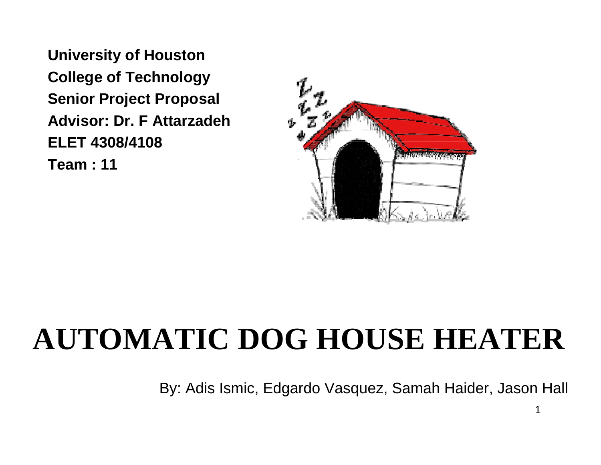**University of Houston College of Technology Senior Project Proposal Advisor: Dr. F AttarzadehELET 4308/4108Team : 11**



#### **AUTOMATIC DOG HOUSE HEATER**

By: Adis Ismic, Edgardo Vasquez, Samah Haider, Jason Hall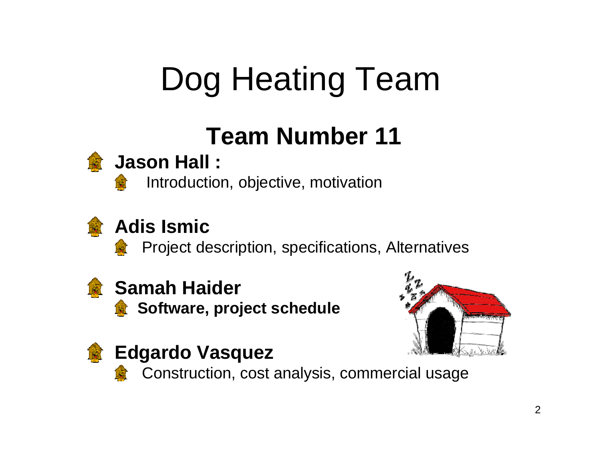# Dog Heating Team

#### **Team Number 11**



#### **Jason Hall :**

Introduction, objective, motivation



#### **Adis Ismic**

Project description, specifications, Alternatives



#### **Samah Haider**

**Software, project schedule** 





#### **Edgardo Vasquez**

Construction, cost analysis, commercial usage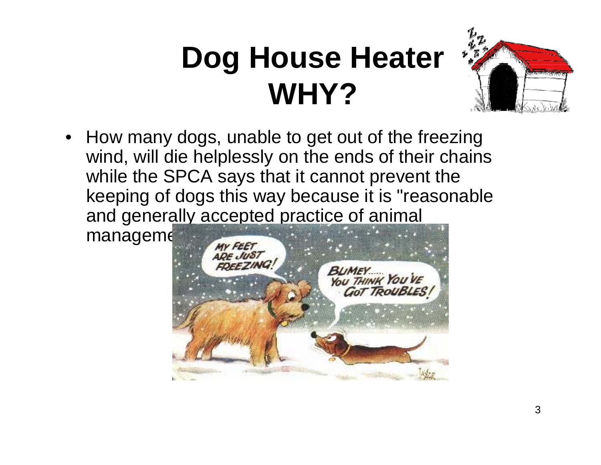# **Dog House Heater WHY?**



• How many dogs, unable to get out of the freezing wind, will die helplessly on the ends of their chains while the SPCA says that it cannot prevent the keeping of dogs this way because it is "reasonable and generally accepted practice of animal

manageme

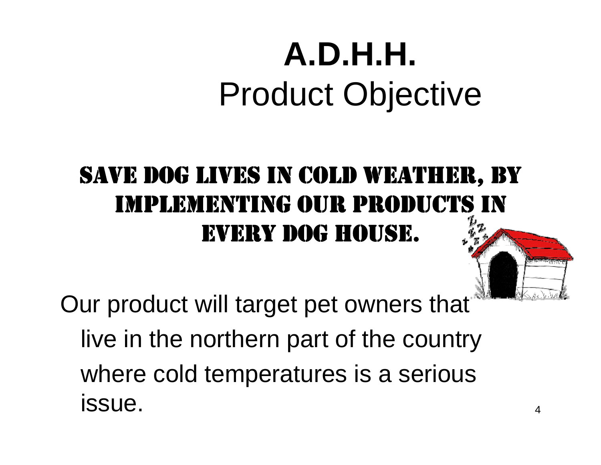# **A.D.H.H.**Product Objective

#### SAVE DOG LIVES IN COLD WEATHER, BY IMPLEMENTING OUR PRODUCTS IN EVERY DOG HOUSE.

Our product will target pet owners that live in the northern part of the country where cold temperatures is a serious issue.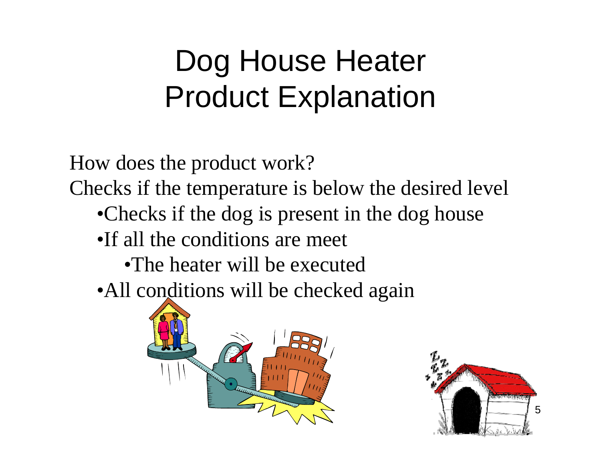#### Dog House Heater Product Explanation

How does the product work?

Checks if the temperature is below the desired level

- •Checks if the dog is present in the dog house
- •If all the conditions are meet
	- •The heater will be executed

• All conditions will be checked again



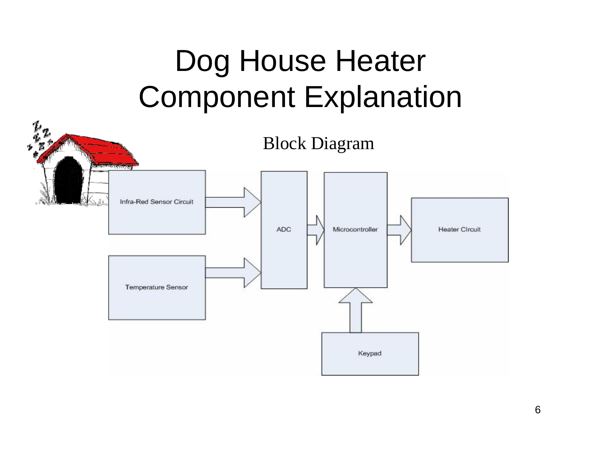#### Dog House Heater Component Explanation

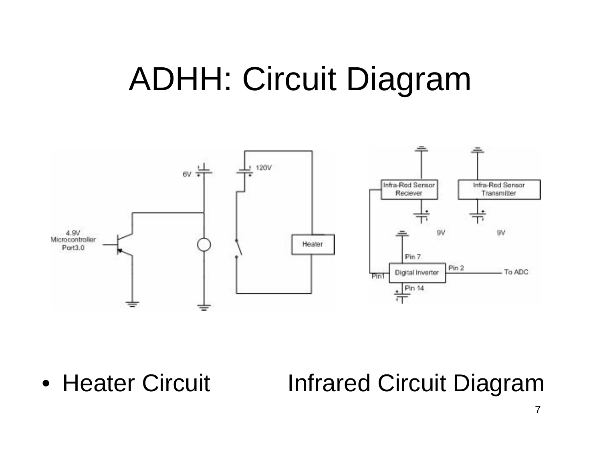#### ADHH: Circuit Diagram



• Heater Circuit **Infrared Circuit Diagram**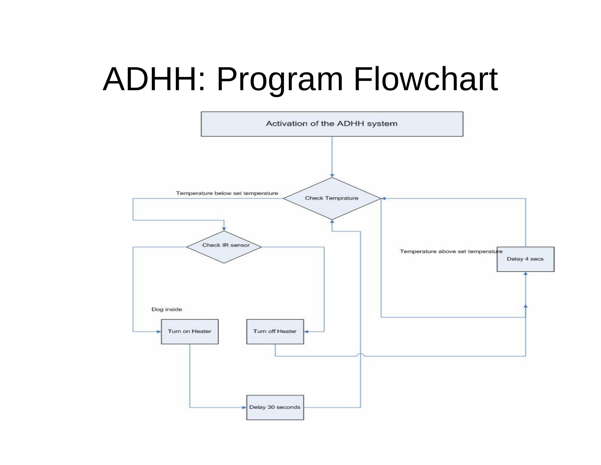## ADHH: Program Flowchart

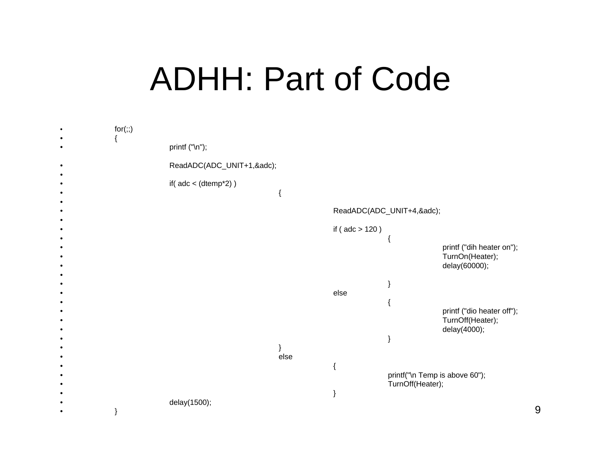#### ADHH: Part of Code

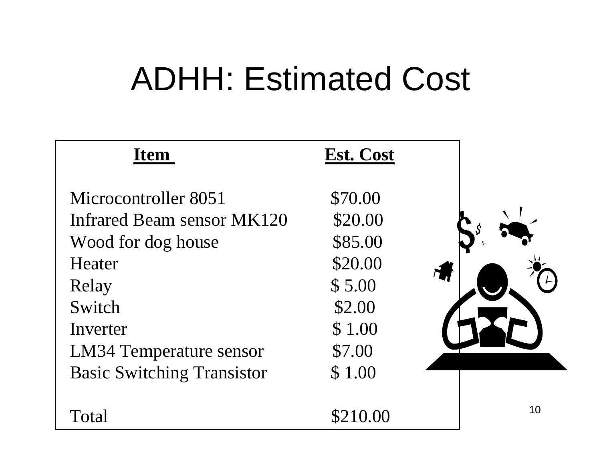## ADHH: Estimated Cost

| <b>Item</b>                       | Est. Cost |    |
|-----------------------------------|-----------|----|
| Microcontroller 8051              | \$70.00   |    |
| Infrared Beam sensor MK120        | \$20.00   |    |
| Wood for dog house                | \$85.00   |    |
| Heater                            | \$20.00   |    |
| Relay                             | \$5.00    |    |
| Switch                            | \$2.00    |    |
| Inverter                          | \$1.00    |    |
| LM34 Temperature sensor           | \$7.00    |    |
| <b>Basic Switching Transistor</b> | \$1.00    |    |
|                                   |           | 10 |
| Total                             | \$210.00  |    |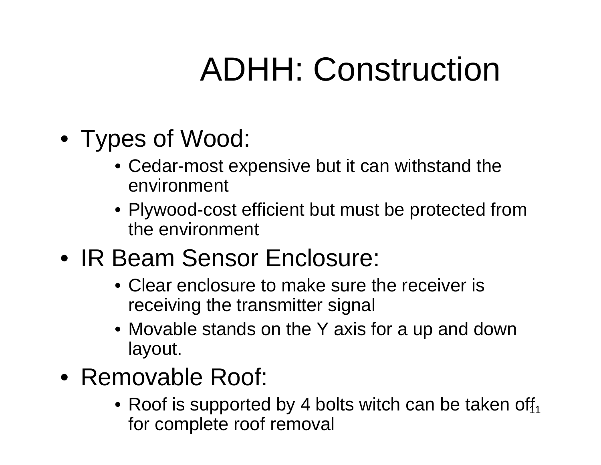# ADHH: Construction

- Types of Wood:
	- Cedar-most expensive but it can withstand the environment
	- Plywood-cost efficient but must be protected from the environment
- IR Beam Sensor Enclosure:
	- Clear enclosure to make sure the receiver is receiving the transmitter signal
	- Movable stands on the Y axis for a up and down layout.
- Removable Roof:
	- $\bullet$  Roof is supported by 4 bolts witch can be taken off $_1$ for complete roof removal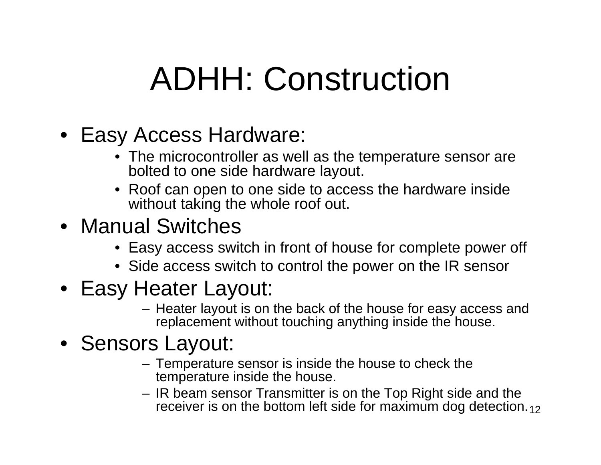## ADHH: Construction

- Easy Access Hardware:
	- The microcontroller as well as the temperature sensor are bolted to one side hardware layout.
	- Roof can open to one side to access the hardware inside without taking the whole roof out.
- Manual Switches
	- Easy access switch in front of house for complete power off
	- Side access switch to control the power on the IR sensor
- Easy Heater Layout:
	- Heater layout is on the back of the house for easy access and replacement without touching anything inside the house.

#### • Sensors Layout:

- Temperature sensor is inside the house to check the temperature inside the house.
- receiver is on the bottom left side for maximum dog detection. $_{\rm 12}$ – IR beam sensor Transmitter is on the Top Right side and the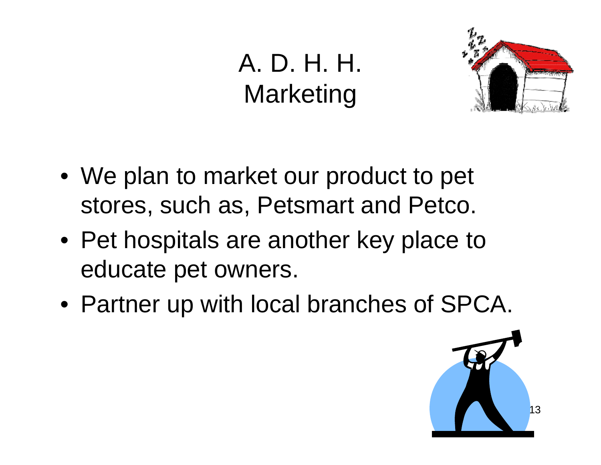#### A. D. H. H.**Marketing**



- We plan to market our product to pet stores, such as, Petsmart and Petco.
- Pet hospitals are another key place to educate pet owners.
- Partner up with local branches of SPCA.

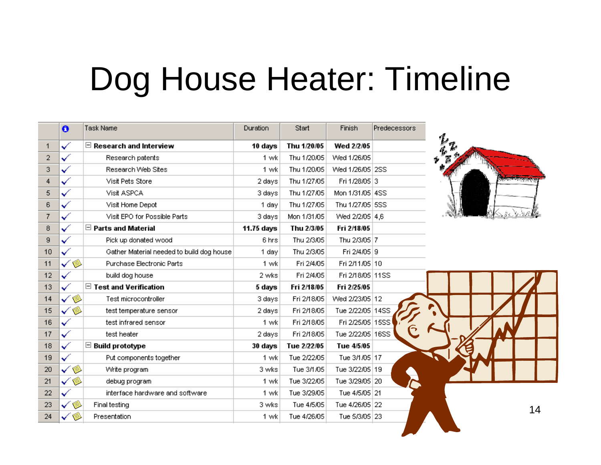#### Dog House Heater: Timeline

|                | $\ddot{\mathbf{o}}$ | Task Name                                 | Duration   | Start       | Finish           | Predecessors |                      |    |
|----------------|---------------------|-------------------------------------------|------------|-------------|------------------|--------------|----------------------|----|
| $\mathbf{1}$   | $\checkmark$        | $\boxdot$ Research and Interview          | 10 days    | Thu 1/20/05 | Wed 2/2/05       |              |                      |    |
| $\overline{2}$ |                     | Research patents                          | 1 wk       | Thu 1/20/05 | Wed 1/26/05      |              |                      |    |
| 3              |                     | Research Web Sites                        | 1 wk       | Thu 1/20/05 | Wed 1/26/05 2SS  |              |                      |    |
| 4              | $\checkmark$        | Visit Pets Store                          | 2 days     | Thu 1/27/05 | Fri 1/28/05 3    |              | <b>SHOW CONTRACT</b> |    |
| 5              | $\checkmark$        | Visit ASPCA                               | 3 days     | Thu 1/27/05 | Mon 1/31/05 4SS  |              |                      |    |
| 6              | $\checkmark$        | Visit Home Depot                          | 1 day      | Thu 1/27/05 | Thu 1/27/05 5SS  |              |                      |    |
| $\overline{7}$ | ✓                   | Visit EPO for Possible Parts              | 3 days     | Mon 1/31/05 | Wed 2/2/05 4,6   |              |                      |    |
| 8              | $\checkmark$        | $\Box$ Parts and Material                 | 11.75 days | Thu 2/3/05  | Fri 2/18/05      |              |                      |    |
| 9              | ✓                   | Pick up donated wood                      | 6 hrs      | Thu 2/3/05  | Thu 2/3/05 7     |              |                      |    |
| 10             | ✓                   | Gather Material needed to build dog house | 1 day      | Thu 2/3/05  | Fri 2/4/05 9     |              |                      |    |
| 11             | ✓◈                  | Purchase Electronic Parts                 | 1 wk       | Fri 2/4/05  | Fri 2/11/05 10   |              |                      |    |
| 12             | ✓                   | build dog house                           | 2 wks      | Fri 2/4/05  | Fri 2/18/05 11SS |              |                      |    |
| 13             | $\mathcal{L}$       | $\boxdot$ Test and Verification           | 5 days     | Fri 2/18/05 | Fri 2/25/05      |              |                      |    |
| 14             | ✓◈                  | Test microcontroller                      | 3 days     | Fri 2/18/05 | Wed 2/23/05 12   |              |                      |    |
| 15             | ۲<br>✓              | test temperature sensor                   | 2 days     | Fri 2/18/05 | Tue 2/22/05 14SS |              |                      |    |
| 16             | $\checkmark$        | test infrared sensor                      | 1 wk       | Fri 2/18/05 | Fri 2/25/05 15SS |              |                      |    |
| 17             | $\checkmark$        | test heater                               | 2 days     | Fri 2/18/05 | Tue 2/22/05 16SS |              |                      |    |
| 18             | $\checkmark$        | $\boxdot$ Build prototype                 | 30 days    | Tue 2/22/05 | Tue 4/5/05       |              |                      |    |
| 19             | ✓                   | Put components together                   | 1 wk       | Tue 2/22/05 | Tue 3/1/05 17    |              |                      |    |
| 20             | ✓◈                  | Write program                             | 3 wks      | Tue 3/1/05  | Tue 3/22/05 19   |              |                      |    |
| 21             | ✓❀                  | debug program                             | 1 wk       | Tue 3/22/05 | Tue 3/29/05 20   |              |                      |    |
| 22             | $\checkmark$        | interface hardware and software           | 1 wk       | Tue 3/29/05 | Tue 4/5/05 21    |              |                      |    |
| 23             | ۱                   | Final testing                             | 3 wks      | Tue 4/5/05  | Tue 4/26/05 22   |              |                      | 14 |
| 24             | $\checkmark$        | Presentation                              | 1 wk       | Tue 4/26/05 | Tue 5/3/05 23    |              |                      |    |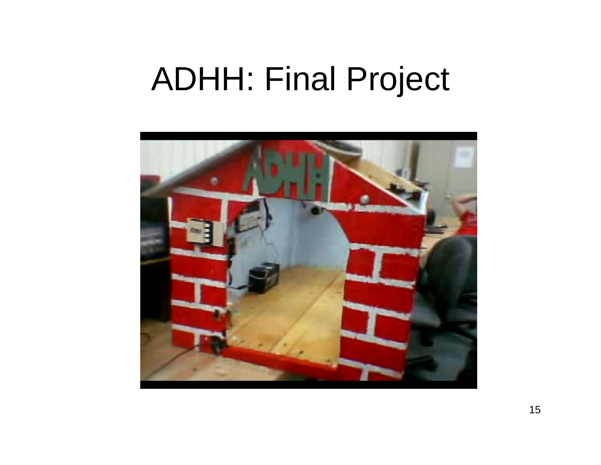#### ADHH: Final Project

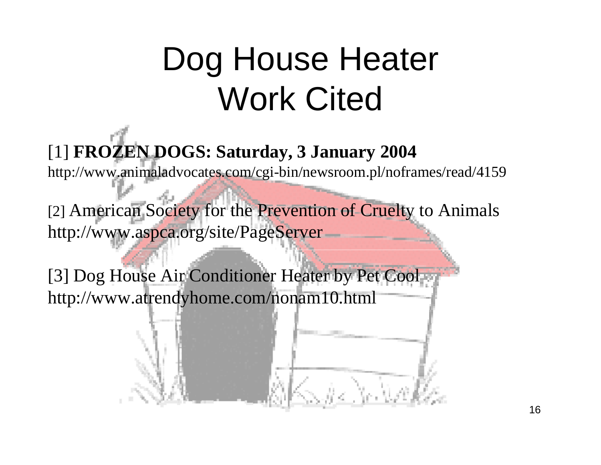# Dog House Heater Work Cited

[1] **FROZEN DOGS: Saturday, 3 January 2004**

http://www.animaladvocates.com/cgi-bin/newsroom.pl/noframes/read/4159

[2] American Society for the Prevention of Cruelty to Animals http://www.aspca.org/site/PageServer

[3] Dog House Air Conditioner Heater by Pet Coolhttp://www.atrendyhome.com/nonam10.html